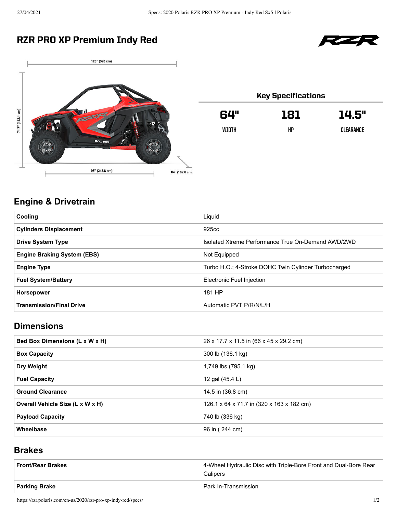# RZR PRO XP Premium Indy Red





| <b>Key Specifications</b> |     |                   |
|---------------------------|-----|-------------------|
| 64"                       | 181 | <b>14.5"</b>      |
| WIDTH                     | HP  | <b>CI FARANCE</b> |

## **Engine & Drivetrain**

| Cooling                            | Liquid                                               |
|------------------------------------|------------------------------------------------------|
| <b>Cylinders Displacement</b>      | 925cc                                                |
| <b>Drive System Type</b>           | Isolated Xtreme Performance True On-Demand AWD/2WD   |
| <b>Engine Braking System (EBS)</b> | Not Equipped                                         |
| <b>Engine Type</b>                 | Turbo H.O.; 4-Stroke DOHC Twin Cylinder Turbocharged |
| <b>Fuel System/Battery</b>         | Electronic Fuel Injection                            |
| <b>Horsepower</b>                  | 181 HP                                               |
| <b>Transmission/Final Drive</b>    | Automatic PVT P/R/N/L/H                              |

#### **Dimensions**

| Bed Box Dimensions (L x W x H)   | 26 x 17.7 x 11.5 in (66 x 45 x 29.2 cm)   |
|----------------------------------|-------------------------------------------|
| <b>Box Capacity</b>              | 300 lb (136.1 kg)                         |
| Dry Weight                       | 1,749 lbs (795.1 kg)                      |
| <b>Fuel Capacity</b>             | 12 gal (45.4 L)                           |
| <b>Ground Clearance</b>          | 14.5 in (36.8 cm)                         |
| Overall Vehicle Size (L x W x H) | 126.1 x 64 x 71.7 in (320 x 163 x 182 cm) |
| <b>Payload Capacity</b>          | 740 lb (336 kg)                           |
| Wheelbase                        | 96 in (244 cm)                            |

#### **Brakes**

| ˈ Front/Rear Brakes | 4-Wheel Hydraulic Disc with Triple-Bore Front and Dual-Bore Rear<br>Calipers |
|---------------------|------------------------------------------------------------------------------|
| Parking Brake       | Park In-Transmission                                                         |